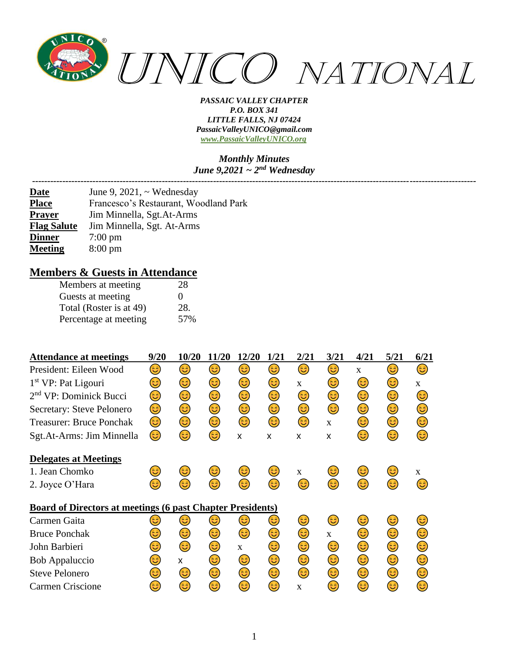

#### *Monthly Minutes June 9,2021 ~ 2nd Wednesday*

*---------------------------------------------------------------------------------------------------------------------------------------------------*

| <b>Date</b>        | June 9, 2021, $\sim$ Wednesday        |
|--------------------|---------------------------------------|
| <b>Place</b>       | Francesco's Restaurant, Woodland Park |
| <b>Prayer</b>      | Jim Minnella, Sgt.At-Arms             |
| <b>Flag Salute</b> | Jim Minnella, Sgt. At-Arms            |
| <b>Dinner</b>      | $7:00 \text{ pm}$                     |
| <b>Meeting</b>     | $8:00 \text{ pm}$                     |

## **Members & Guests in Attendance**

| Members at meeting      | 28  |
|-------------------------|-----|
| Guests at meeting       | 0   |
| Total (Roster is at 49) | 28. |
| Percentage at meeting   | 57% |

| <b>Attendance at meetings</b>                                     | 9/20 | 10/20 | 11/20 | 12/20        | 1/21 | 2/21         | 3/21         | 4/21         | 5/21 | 6/21         |
|-------------------------------------------------------------------|------|-------|-------|--------------|------|--------------|--------------|--------------|------|--------------|
| President: Eileen Wood                                            | 3    | 3     | 3     | 63)          | 3    | 6            | 3            | $\mathbf{X}$ | 3)   | 3            |
| $1st VP$ : Pat Ligouri                                            | ತಿ   | 3     | 3     | 3)           | 3    | $\mathbf{X}$ | 3            | 3)           | 3    | $\mathbf{X}$ |
| 2 <sup>nd</sup> VP: Dominick Bucci                                | ತಿ   | 3     | 3     | 3)           | 3)   | 3)           | 3            | 3            | 3)   | ದ            |
| Secretary: Steve Pelonero                                         | 3    | 3     | ٢     | 3)           | 3)   | 3)           | 3            | 3)           | ٢    | ತಿ           |
| <b>Treasurer: Bruce Ponchak</b>                                   | 3    | 3)    | ☺     | 3            | 3    | 3            | $\mathbf{X}$ | 3            | 3)   | 3            |
| Sgt.At-Arms: Jim Minnella                                         | 3    | 63)   | 3     | X            | X    | X            | X            | 3            | 3    | 63)          |
| <b>Delegates at Meetings</b>                                      |      |       |       |              |      |              |              |              |      |              |
| 1. Jean Chomko                                                    | ಡ    | 3     | ತಿ    | 3            | ತಿ   | $\mathbf{x}$ | ತಿ           | ತಿ           | ಟ    | X            |
| 2. Joyce O'Hara                                                   | 6    | 6     | 3     | 3            | 63)  | ದಿ           | 3            | 6            | 63)  | 63           |
| <b>Board of Directors at meetings (6 past Chapter Presidents)</b> |      |       |       |              |      |              |              |              |      |              |
| Carmen Gaita                                                      | ಡಿ   | 63    | ಟ     | 3            | 3    | 3            | 3)           | ತಿ           | ಡ    | 63           |
| <b>Bruce Ponchak</b>                                              | ತಿ   | 3     | 3)    | 3            | 3    | 3            | X            | 3            | 3)   | 3            |
| John Barbieri                                                     | ತಿ   | 3     | ٢     | $\mathbf{X}$ | 3)   | 3)           | 3            | 3            | 3    | ತಿ           |
| <b>Bob Appaluccio</b>                                             | ಡಿ   | X     | 3     | 3)           | 3    | 3)           | ٢            | 3            | ☺    | ದಿ           |
| <b>Steve Pelonero</b>                                             | 3    | 3     | 3     | 3)           | 3    | 3            | 3            | 3            | 3    | 63           |
| <b>Carmen Criscione</b>                                           | 63   | 63    | ಟ     | 63)          | 63)  | $\mathbf{x}$ | 3            | 63)          | (ئُ  | 63           |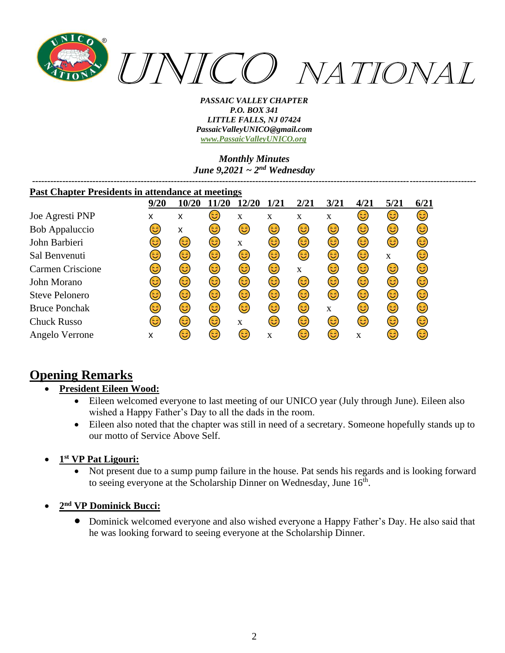

*Monthly Minutes June 9,2021 ~ 2nd Wednesday*

| <b>Past Chapter Presidents in attendance at meetings</b> |      |       |      |       |             |      |      |      |      |      |
|----------------------------------------------------------|------|-------|------|-------|-------------|------|------|------|------|------|
|                                                          | 9/20 | 10/20 | 1/20 | 12/20 | <b>1/21</b> | 2/21 | 3/21 | 4/21 | 5/21 | 6/21 |
| Joe Agresti PNP                                          | x    | x     | 3)   | X     | X           | X    | X    | 3    | 3)   | 3)   |
| <b>Bob Appaluccio</b>                                    | ಡ    | X     | 3)   | 3)    | 3)          | 3)   | 3)   | 3)   | 3)   | 3)   |
| John Barbieri                                            | 3    | 3)    | 3)   | X     | 3)          | 3)   | 3)   | 6    | 6    | 3)   |
| Sal Benvenuti                                            | ಡಿ   | 3)    | 3)   | 3)    | 3)          | 6    | 3    | 6    | X    | 63)  |
| <b>Carmen Criscione</b>                                  | ಡಿ   | 3)    | 3    | ٢     | 3           | X    | 3    | 6    | 3    | 3    |
| John Morano                                              | ಟ    | 3)    | 3)   | 3)    | 3           | 3    | 3    | (ئ   | 3    | 3    |
| <b>Steve Pelonero</b>                                    | 3    | ٢     | 3    | ٤     | 3           | 3    | 3    | (ئ   | 3    | 3    |
| <b>Bruce Ponchak</b>                                     | ಡಿ   | 3)    | 3)   | 6     | 3           | 3    | X    | 6    | 3    | 6    |
| <b>Chuck Russo</b>                                       | ದಿ   | 3     | 3    | X     | 63          | 3    | 3    | (ئَ  | 6    | 3    |
| Angelo Verrone                                           | X    | ತಿ    | 3    | 3)    | X           | ಡಿ   | 6    | X    | 6    | 3    |

# **Opening Remarks**

## • **President Eileen Wood:**

- Eileen welcomed everyone to last meeting of our UNICO year (July through June). Eileen also wished a Happy Father's Day to all the dads in the room.
- Eileen also noted that the chapter was still in need of a secretary. Someone hopefully stands up to our motto of Service Above Self.
- **1 st VP Pat Ligouri:**
	- Not present due to a sump pump failure in the house. Pat sends his regards and is looking forward to seeing everyone at the Scholarship Dinner on Wednesday, June  $16^{\text{th}}$ .
- **2 nd VP Dominick Bucci:**
	- Dominick welcomed everyone and also wished everyone a Happy Father's Day. He also said that he was looking forward to seeing everyone at the Scholarship Dinner.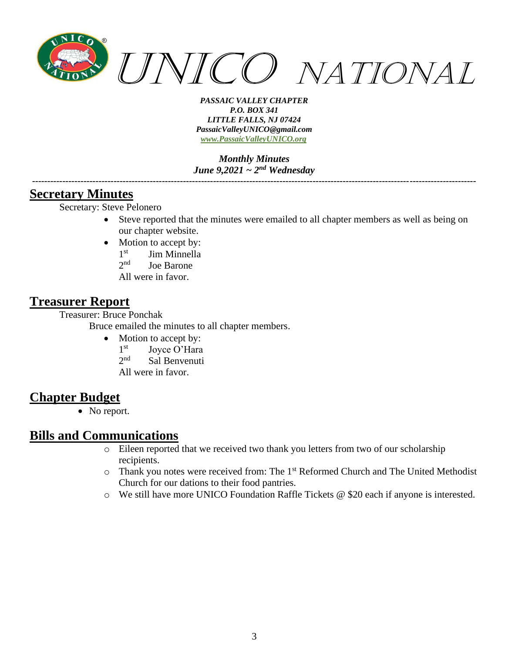

*Monthly Minutes June 9,2021 ~ 2nd Wednesday*

*---------------------------------------------------------------------------------------------------------------------------------------------------*

## **Secretary Minutes**

Secretary: Steve Pelonero

- Steve reported that the minutes were emailed to all chapter members as well as being on our chapter website.
- Motion to accept by:
	- $1^{\rm st}$ Jim Minnella
	- $2<sub>nd</sub>$ Joe Barone
	- All were in favor.

## **Treasurer Report**

Treasurer: Bruce Ponchak

Bruce emailed the minutes to all chapter members.

- Motion to accept by:
	- $1<sup>st</sup>$ Joyce O'Hara
	- $2<sub>nd</sub>$ Sal Benvenuti
	- All were in favor.

# **Chapter Budget**

• No report.

## **Bills and Communications**

- o Eileen reported that we received two thank you letters from two of our scholarship recipients.
- o Thank you notes were received from: The 1st Reformed Church and The United Methodist Church for our dations to their food pantries.
- o We still have more UNICO Foundation Raffle Tickets @ \$20 each if anyone is interested.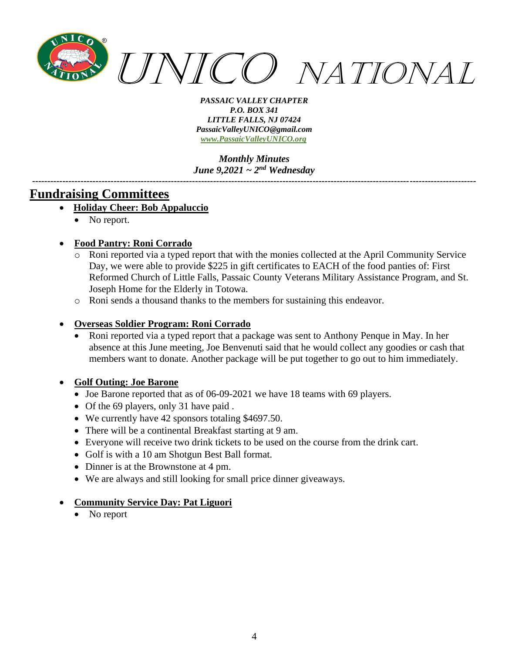

*Monthly Minutes June 9,2021 ~ 2nd Wednesday*

*---------------------------------------------------------------------------------------------------------------------------------------------------*

## **Fundraising Committees**

- **Holiday Cheer: Bob Appaluccio**
	- No report.
- **Food Pantry: Roni Corrado**
	- Roni reported via a typed report that with the monies collected at the April Community Service Day, we were able to provide \$225 in gift certificates to EACH of the food panties of: First Reformed Church of Little Falls, Passaic County Veterans Military Assistance Program, and St. Joseph Home for the Elderly in Totowa.
	- o Roni sends a thousand thanks to the members for sustaining this endeavor.

### • **Overseas Soldier Program: Roni Corrado**

• Roni reported via a typed report that a package was sent to Anthony Penque in May. In her absence at this June meeting, Joe Benvenuti said that he would collect any goodies or cash that members want to donate. Another package will be put together to go out to him immediately.

#### • **Golf Outing: Joe Barone**

- Joe Barone reported that as of 06-09-2021 we have 18 teams with 69 players.
- Of the 69 players, only 31 have paid .
- We currently have 42 sponsors totaling \$4697.50.
- There will be a continental Breakfast starting at 9 am.
- Everyone will receive two drink tickets to be used on the course from the drink cart.
- Golf is with a 10 am Shotgun Best Ball format.
- Dinner is at the Brownstone at 4 pm.
- We are always and still looking for small price dinner giveaways.

#### • **Community Service Day: Pat Liguori**

• No report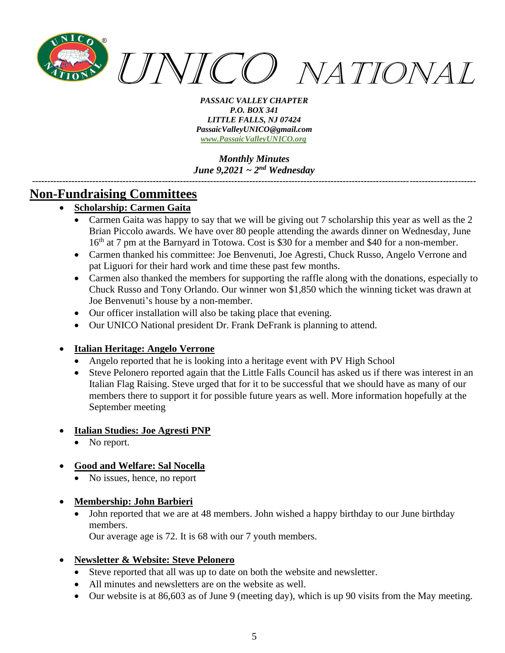

*Monthly Minutes June 9,2021 ~ 2nd Wednesday*

*---------------------------------------------------------------------------------------------------------------------------------------------------*

# **Non-Fundraising Committees**

## • **Scholarship: Carmen Gaita**

- Carmen Gaita was happy to say that we will be giving out 7 scholarship this year as well as the 2 Brian Piccolo awards. We have over 80 people attending the awards dinner on Wednesday, June 16<sup>th</sup> at 7 pm at the Barnyard in Totowa. Cost is \$30 for a member and \$40 for a non-member.
- Carmen thanked his committee: Joe Benvenuti, Joe Agresti, Chuck Russo, Angelo Verrone and pat Liguori for their hard work and time these past few months.
- Carmen also thanked the members for supporting the raffle along with the donations, especially to Chuck Russo and Tony Orlando. Our winner won \$1,850 which the winning ticket was drawn at Joe Benvenuti's house by a non-member.
- Our officer installation will also be taking place that evening.
- Our UNICO National president Dr. Frank DeFrank is planning to attend.

### • **Italian Heritage: Angelo Verrone**

- Angelo reported that he is looking into a heritage event with PV High School
- Steve Pelonero reported again that the Little Falls Council has asked us if there was interest in an Italian Flag Raising. Steve urged that for it to be successful that we should have as many of our members there to support it for possible future years as well. More information hopefully at the September meeting

### • **Italian Studies: Joe Agresti PNP**

No report.

## • **Good and Welfare: Sal Nocella**

• No issues, hence, no report

### • **Membership: John Barbieri**

• John reported that we are at 48 members. John wished a happy birthday to our June birthday members.

Our average age is 72. It is 68 with our 7 youth members.

### • **Newsletter & Website: Steve Pelonero**

- Steve reported that all was up to date on both the website and newsletter.
- All minutes and newsletters are on the website as well.
- Our website is at 86,603 as of June 9 (meeting day), which is up 90 visits from the May meeting.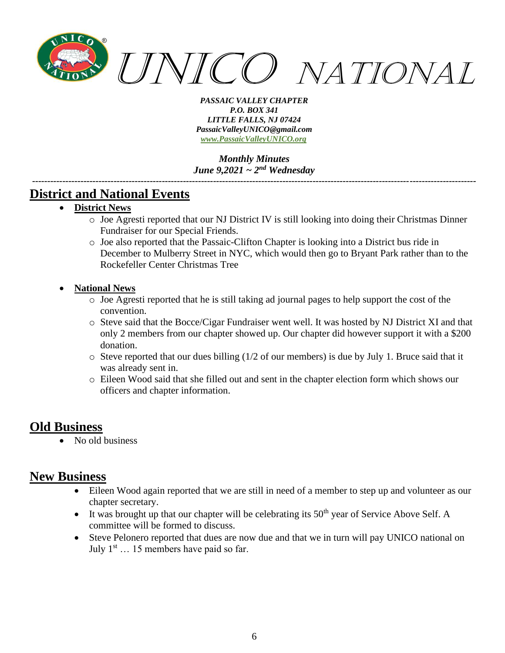

*Monthly Minutes June 9,2021 ~ 2nd Wednesday*

*---------------------------------------------------------------------------------------------------------------------------------------------------*

# **District and National Events**

- **District News**
	- o Joe Agresti reported that our NJ District IV is still looking into doing their Christmas Dinner Fundraiser for our Special Friends.
	- o Joe also reported that the Passaic-Clifton Chapter is looking into a District bus ride in December to Mulberry Street in NYC, which would then go to Bryant Park rather than to the Rockefeller Center Christmas Tree
- **National News**
	- o Joe Agresti reported that he is still taking ad journal pages to help support the cost of the convention.
	- o Steve said that the Bocce/Cigar Fundraiser went well. It was hosted by NJ District XI and that only 2 members from our chapter showed up. Our chapter did however support it with a \$200 donation.
	- $\circ$  Steve reported that our dues billing (1/2 of our members) is due by July 1. Bruce said that it was already sent in.
	- o Eileen Wood said that she filled out and sent in the chapter election form which shows our officers and chapter information.

## **Old Business**

• No old business

# **New Business**

- Eileen Wood again reported that we are still in need of a member to step up and volunteer as our chapter secretary.
- It was brought up that our chapter will be celebrating its  $50<sup>th</sup>$  year of Service Above Self. A committee will be formed to discuss.
- Steve Pelonero reported that dues are now due and that we in turn will pay UNICO national on July  $1<sup>st</sup>$  ... 15 members have paid so far.